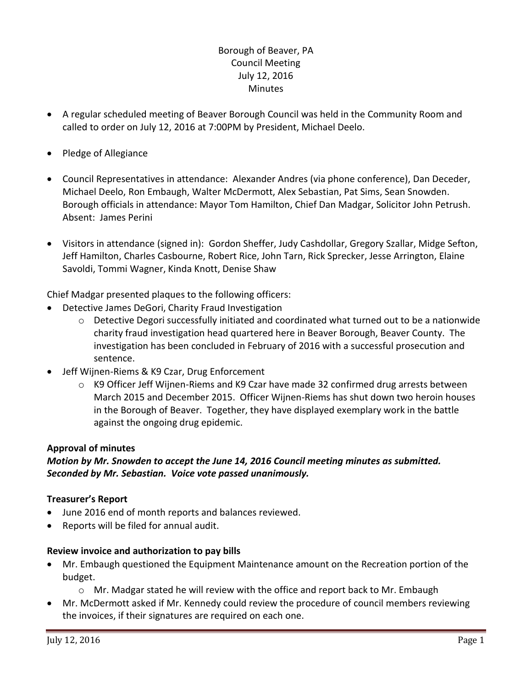# Borough of Beaver, PA Council Meeting July 12, 2016 Minutes

- A regular scheduled meeting of Beaver Borough Council was held in the Community Room and called to order on July 12, 2016 at 7:00PM by President, Michael Deelo.
- Pledge of Allegiance
- Council Representatives in attendance: Alexander Andres (via phone conference), Dan Deceder, Michael Deelo, Ron Embaugh, Walter McDermott, Alex Sebastian, Pat Sims, Sean Snowden. Borough officials in attendance: Mayor Tom Hamilton, Chief Dan Madgar, Solicitor John Petrush. Absent: James Perini
- Visitors in attendance (signed in): Gordon Sheffer, Judy Cashdollar, Gregory Szallar, Midge Sefton, Jeff Hamilton, Charles Casbourne, Robert Rice, John Tarn, Rick Sprecker, Jesse Arrington, Elaine Savoldi, Tommi Wagner, Kinda Knott, Denise Shaw

Chief Madgar presented plaques to the following officers:

- Detective James DeGori, Charity Fraud Investigation
	- $\circ$  Detective Degori successfully initiated and coordinated what turned out to be a nationwide charity fraud investigation head quartered here in Beaver Borough, Beaver County. The investigation has been concluded in February of 2016 with a successful prosecution and sentence.
- Jeff Wijnen-Riems & K9 Czar, Drug Enforcement
	- o K9 Officer Jeff Wijnen-Riems and K9 Czar have made 32 confirmed drug arrests between March 2015 and December 2015. Officer Wijnen-Riems has shut down two heroin houses in the Borough of Beaver. Together, they have displayed exemplary work in the battle against the ongoing drug epidemic.

## **Approval of minutes**

# *Motion by Mr. Snowden to accept the June 14, 2016 Council meeting minutes as submitted. Seconded by Mr. Sebastian. Voice vote passed unanimously.*

## **Treasurer's Report**

- June 2016 end of month reports and balances reviewed.
- Reports will be filed for annual audit.

## **Review invoice and authorization to pay bills**

- Mr. Embaugh questioned the Equipment Maintenance amount on the Recreation portion of the budget.
	- o Mr. Madgar stated he will review with the office and report back to Mr. Embaugh
- Mr. McDermott asked if Mr. Kennedy could review the procedure of council members reviewing the invoices, if their signatures are required on each one.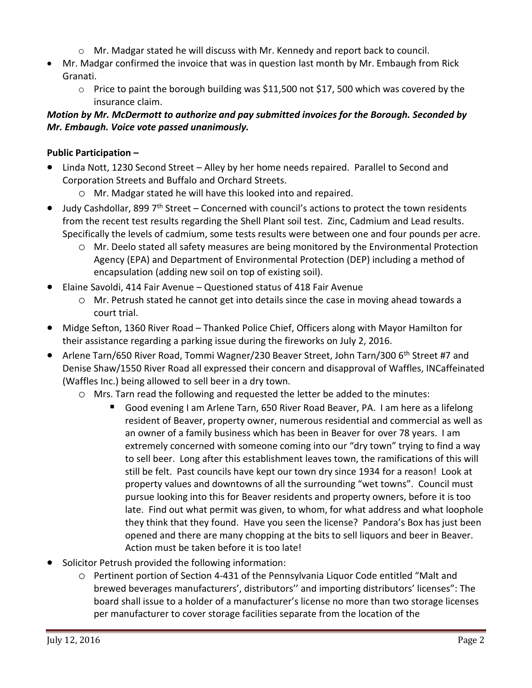- $\circ$  Mr. Madgar stated he will discuss with Mr. Kennedy and report back to council.
- Mr. Madgar confirmed the invoice that was in question last month by Mr. Embaugh from Rick Granati.
	- $\circ$  Price to paint the borough building was \$11,500 not \$17, 500 which was covered by the insurance claim.

# *Motion by Mr. McDermott to authorize and pay submitted invoices for the Borough. Seconded by Mr. Embaugh. Voice vote passed unanimously.*

## **Public Participation –**

- Linda Nott, 1230 Second Street Alley by her home needs repaired. Parallel to Second and Corporation Streets and Buffalo and Orchard Streets.
	- o Mr. Madgar stated he will have this looked into and repaired.
- $\bullet$  Judy Cashdollar, 899 7<sup>th</sup> Street Concerned with council's actions to protect the town residents from the recent test results regarding the Shell Plant soil test. Zinc, Cadmium and Lead results. Specifically the levels of cadmium, some tests results were between one and four pounds per acre.
	- o Mr. Deelo stated all safety measures are being monitored by the Environmental Protection Agency (EPA) and Department of Environmental Protection (DEP) including a method of encapsulation (adding new soil on top of existing soil).
- Elaine Savoldi, 414 Fair Avenue Questioned status of 418 Fair Avenue
	- o Mr. Petrush stated he cannot get into details since the case in moving ahead towards a court trial.
- Midge Sefton, 1360 River Road Thanked Police Chief, Officers along with Mayor Hamilton for their assistance regarding a parking issue during the fireworks on July 2, 2016.
- Arlene Tarn/650 River Road, Tommi Wagner/230 Beaver Street, John Tarn/300 6<sup>th</sup> Street #7 and Denise Shaw/1550 River Road all expressed their concern and disapproval of Waffles, INCaffeinated (Waffles Inc.) being allowed to sell beer in a dry town.
	- o Mrs. Tarn read the following and requested the letter be added to the minutes:
		- Good evening I am Arlene Tarn, 650 River Road Beaver, PA. I am here as a lifelong resident of Beaver, property owner, numerous residential and commercial as well as an owner of a family business which has been in Beaver for over 78 years. I am extremely concerned with someone coming into our "dry town" trying to find a way to sell beer. Long after this establishment leaves town, the ramifications of this will still be felt. Past councils have kept our town dry since 1934 for a reason! Look at property values and downtowns of all the surrounding "wet towns". Council must pursue looking into this for Beaver residents and property owners, before it is too late. Find out what permit was given, to whom, for what address and what loophole they think that they found. Have you seen the license? Pandora's Box has just been opened and there are many chopping at the bits to sell liquors and beer in Beaver. Action must be taken before it is too late!
- Solicitor Petrush provided the following information:
	- o Pertinent portion of Section 4-431 of the Pennsylvania Liquor Code entitled "Malt and brewed beverages manufacturers', distributors'' and importing distributors' licenses": The board shall issue to a holder of a manufacturer's license no more than two storage licenses per manufacturer to cover storage facilities separate from the location of the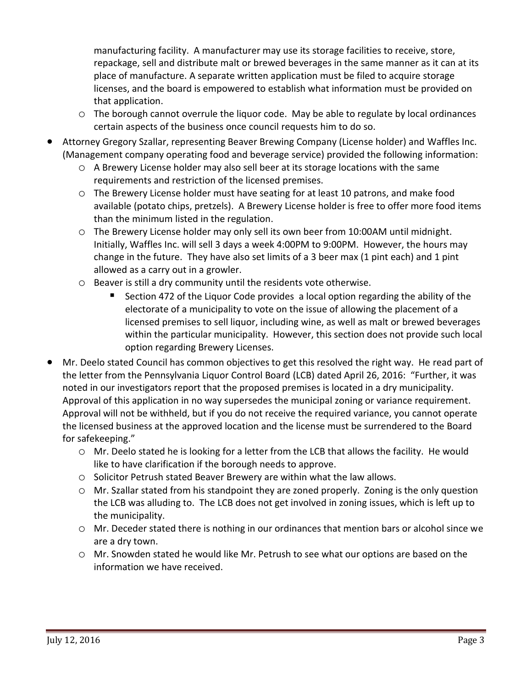manufacturing facility. A manufacturer may use its storage facilities to receive, store, repackage, sell and distribute malt or brewed beverages in the same manner as it can at its place of manufacture. A separate written application must be filed to acquire storage licenses, and the board is empowered to establish what information must be provided on that application.

- o The borough cannot overrule the liquor code. May be able to regulate by local ordinances certain aspects of the business once council requests him to do so.
- Attorney Gregory Szallar, representing Beaver Brewing Company (License holder) and Waffles Inc. (Management company operating food and beverage service) provided the following information:
	- o A Brewery License holder may also sell beer at its storage locations with the same requirements and restriction of the licensed premises.
	- o The Brewery License holder must have seating for at least 10 patrons, and make food available (potato chips, pretzels). A Brewery License holder is free to offer more food items than the minimum listed in the regulation.
	- o The Brewery License holder may only sell its own beer from 10:00AM until midnight. Initially, Waffles Inc. will sell 3 days a week 4:00PM to 9:00PM. However, the hours may change in the future. They have also set limits of a 3 beer max (1 pint each) and 1 pint allowed as a carry out in a growler.
	- o Beaver is still a dry community until the residents vote otherwise.
		- Section 472 of the Liquor Code provides a local option regarding the ability of the electorate of a municipality to vote on the issue of allowing the placement of a licensed premises to sell liquor, including wine, as well as malt or brewed beverages within the particular municipality. However, this section does not provide such local option regarding Brewery Licenses.
- Mr. Deelo stated Council has common objectives to get this resolved the right way. He read part of the letter from the Pennsylvania Liquor Control Board (LCB) dated April 26, 2016: "Further, it was noted in our investigators report that the proposed premises is located in a dry municipality. Approval of this application in no way supersedes the municipal zoning or variance requirement. Approval will not be withheld, but if you do not receive the required variance, you cannot operate the licensed business at the approved location and the license must be surrendered to the Board for safekeeping."
	- o Mr. Deelo stated he is looking for a letter from the LCB that allows the facility. He would like to have clarification if the borough needs to approve.
	- o Solicitor Petrush stated Beaver Brewery are within what the law allows.
	- o Mr. Szallar stated from his standpoint they are zoned properly. Zoning is the only question the LCB was alluding to. The LCB does not get involved in zoning issues, which is left up to the municipality.
	- o Mr. Deceder stated there is nothing in our ordinances that mention bars or alcohol since we are a dry town.
	- o Mr. Snowden stated he would like Mr. Petrush to see what our options are based on the information we have received.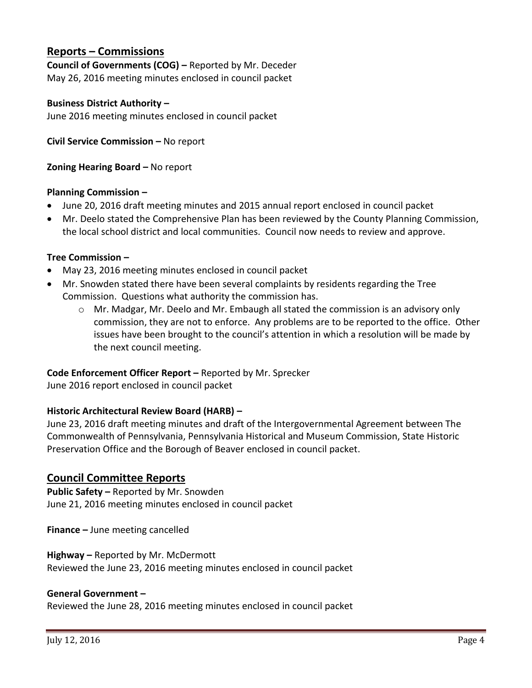# **Reports – Commissions**

**Council of Governments (COG) –** Reported by Mr. Deceder May 26, 2016 meeting minutes enclosed in council packet

### **Business District Authority –**

June 2016 meeting minutes enclosed in council packet

**Civil Service Commission –** No report

**Zoning Hearing Board –** No report

#### **Planning Commission –**

- June 20, 2016 draft meeting minutes and 2015 annual report enclosed in council packet
- Mr. Deelo stated the Comprehensive Plan has been reviewed by the County Planning Commission, the local school district and local communities. Council now needs to review and approve.

#### **Tree Commission –**

- May 23, 2016 meeting minutes enclosed in council packet
- Mr. Snowden stated there have been several complaints by residents regarding the Tree Commission. Questions what authority the commission has.
	- o Mr. Madgar, Mr. Deelo and Mr. Embaugh all stated the commission is an advisory only commission, they are not to enforce. Any problems are to be reported to the office. Other issues have been brought to the council's attention in which a resolution will be made by the next council meeting.

### **Code Enforcement Officer Report –** Reported by Mr. Sprecker

June 2016 report enclosed in council packet

### **Historic Architectural Review Board (HARB) –**

June 23, 2016 draft meeting minutes and draft of the Intergovernmental Agreement between The Commonwealth of Pennsylvania, Pennsylvania Historical and Museum Commission, State Historic Preservation Office and the Borough of Beaver enclosed in council packet.

### **Council Committee Reports**

**Public Safety –** Reported by Mr. Snowden June 21, 2016 meeting minutes enclosed in council packet

**Finance –** June meeting cancelled

#### **Highway –** Reported by Mr. McDermott

Reviewed the June 23, 2016 meeting minutes enclosed in council packet

### **General Government –**

Reviewed the June 28, 2016 meeting minutes enclosed in council packet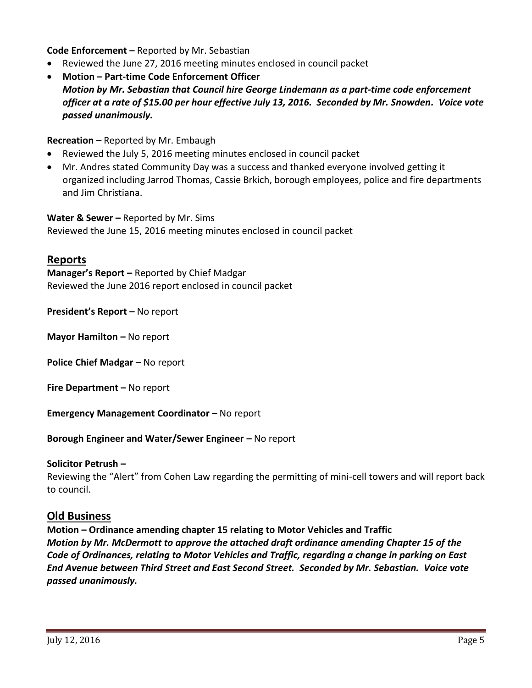**Code Enforcement –** Reported by Mr. Sebastian

- Reviewed the June 27, 2016 meeting minutes enclosed in council packet
- **Motion – Part-time Code Enforcement Officer** *Motion by Mr. Sebastian that Council hire George Lindemann as a part-time code enforcement officer at a rate of \$15.00 per hour effective July 13, 2016. Seconded by Mr. Snowden. Voice vote passed unanimously.*

**Recreation –** Reported by Mr. Embaugh

- Reviewed the July 5, 2016 meeting minutes enclosed in council packet
- Mr. Andres stated Community Day was a success and thanked everyone involved getting it organized including Jarrod Thomas, Cassie Brkich, borough employees, police and fire departments and Jim Christiana.

**Water & Sewer –** Reported by Mr. Sims Reviewed the June 15, 2016 meeting minutes enclosed in council packet

## **Reports**

**Manager's Report –** Reported by Chief Madgar Reviewed the June 2016 report enclosed in council packet

**President's Report –** No report

**Mayor Hamilton –** No report

**Police Chief Madgar –** No report

**Fire Department –** No report

**Emergency Management Coordinator - No report** 

**Borough Engineer and Water/Sewer Engineer – No report** 

### **Solicitor Petrush –**

Reviewing the "Alert" from Cohen Law regarding the permitting of mini-cell towers and will report back to council.

### **Old Business**

**Motion – Ordinance amending chapter 15 relating to Motor Vehicles and Traffic** *Motion by Mr. McDermott to approve the attached draft ordinance amending Chapter 15 of the Code of Ordinances, relating to Motor Vehicles and Traffic, regarding a change in parking on East End Avenue between Third Street and East Second Street. Seconded by Mr. Sebastian. Voice vote passed unanimously.*